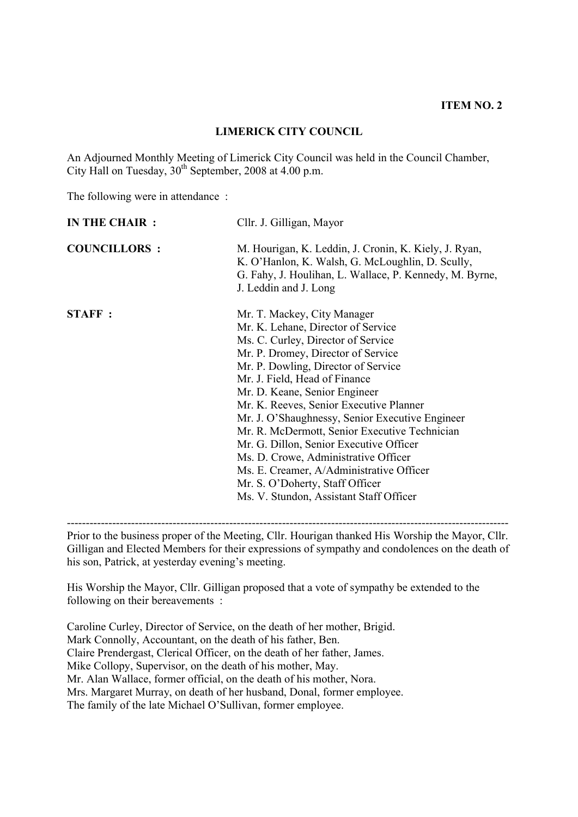#### **LIMERICK CITY COUNCIL**

An Adjourned Monthly Meeting of Limerick City Council was held in the Council Chamber, City Hall on Tuesday,  $30<sup>th</sup>$  September, 2008 at 4.00 p.m.

The following were in attendance :

| IN THE CHAIR :      | Cllr. J. Gilligan, Mayor                                                                                                                                                                                                                                                                                                                                                                                                                                                                                                                                                                                           |
|---------------------|--------------------------------------------------------------------------------------------------------------------------------------------------------------------------------------------------------------------------------------------------------------------------------------------------------------------------------------------------------------------------------------------------------------------------------------------------------------------------------------------------------------------------------------------------------------------------------------------------------------------|
| <b>COUNCILLORS:</b> | M. Hourigan, K. Leddin, J. Cronin, K. Kiely, J. Ryan,<br>K. O'Hanlon, K. Walsh, G. McLoughlin, D. Scully,<br>G. Fahy, J. Houlihan, L. Wallace, P. Kennedy, M. Byrne,<br>J. Leddin and J. Long                                                                                                                                                                                                                                                                                                                                                                                                                      |
| <b>STAFF:</b>       | Mr. T. Mackey, City Manager<br>Mr. K. Lehane, Director of Service<br>Ms. C. Curley, Director of Service<br>Mr. P. Dromey, Director of Service<br>Mr. P. Dowling, Director of Service<br>Mr. J. Field, Head of Finance<br>Mr. D. Keane, Senior Engineer<br>Mr. K. Reeves, Senior Executive Planner<br>Mr. J. O'Shaughnessy, Senior Executive Engineer<br>Mr. R. McDermott, Senior Executive Technician<br>Mr. G. Dillon, Senior Executive Officer<br>Ms. D. Crowe, Administrative Officer<br>Ms. E. Creamer, A/Administrative Officer<br>Mr. S. O'Doherty, Staff Officer<br>Ms. V. Stundon, Assistant Staff Officer |

---------------------------------------------------------------------------------------------------------------------

Prior to the business proper of the Meeting, Cllr. Hourigan thanked His Worship the Mayor, Cllr. Gilligan and Elected Members for their expressions of sympathy and condolences on the death of his son, Patrick, at yesterday evening's meeting.

His Worship the Mayor, Cllr. Gilligan proposed that a vote of sympathy be extended to the following on their bereavements :

Caroline Curley, Director of Service, on the death of her mother, Brigid. Mark Connolly, Accountant, on the death of his father, Ben. Claire Prendergast, Clerical Officer, on the death of her father, James. Mike Collopy, Supervisor, on the death of his mother, May. Mr. Alan Wallace, former official, on the death of his mother, Nora. Mrs. Margaret Murray, on death of her husband, Donal, former employee. The family of the late Michael O'Sullivan, former employee.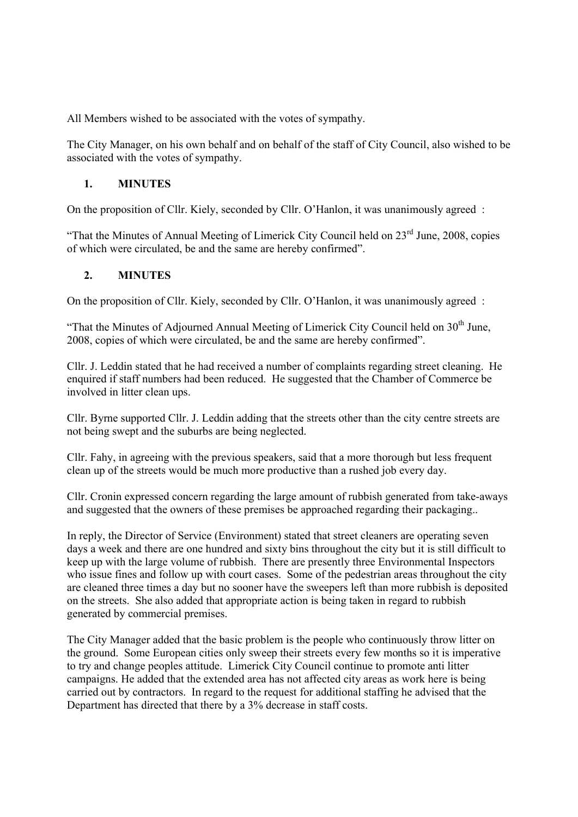All Members wished to be associated with the votes of sympathy.

The City Manager, on his own behalf and on behalf of the staff of City Council, also wished to be associated with the votes of sympathy.

### **1. MINUTES**

On the proposition of Cllr. Kiely, seconded by Cllr. O'Hanlon, it was unanimously agreed :

"That the Minutes of Annual Meeting of Limerick City Council held on  $23<sup>rd</sup>$  June, 2008, copies of which were circulated, be and the same are hereby confirmed".

## **2. MINUTES**

On the proposition of Cllr. Kiely, seconded by Cllr. O'Hanlon, it was unanimously agreed :

"That the Minutes of Adjourned Annual Meeting of Limerick City Council held on  $30<sup>th</sup>$  June, 2008, copies of which were circulated, be and the same are hereby confirmed".

Cllr. J. Leddin stated that he had received a number of complaints regarding street cleaning. He enquired if staff numbers had been reduced. He suggested that the Chamber of Commerce be involved in litter clean ups.

Cllr. Byrne supported Cllr. J. Leddin adding that the streets other than the city centre streets are not being swept and the suburbs are being neglected.

Cllr. Fahy, in agreeing with the previous speakers, said that a more thorough but less frequent clean up of the streets would be much more productive than a rushed job every day.

Cllr. Cronin expressed concern regarding the large amount of rubbish generated from take-aways and suggested that the owners of these premises be approached regarding their packaging..

In reply, the Director of Service (Environment) stated that street cleaners are operating seven days a week and there are one hundred and sixty bins throughout the city but it is still difficult to keep up with the large volume of rubbish. There are presently three Environmental Inspectors who issue fines and follow up with court cases. Some of the pedestrian areas throughout the city are cleaned three times a day but no sooner have the sweepers left than more rubbish is deposited on the streets. She also added that appropriate action is being taken in regard to rubbish generated by commercial premises.

The City Manager added that the basic problem is the people who continuously throw litter on the ground. Some European cities only sweep their streets every few months so it is imperative to try and change peoples attitude. Limerick City Council continue to promote anti litter campaigns. He added that the extended area has not affected city areas as work here is being carried out by contractors. In regard to the request for additional staffing he advised that the Department has directed that there by a 3% decrease in staff costs.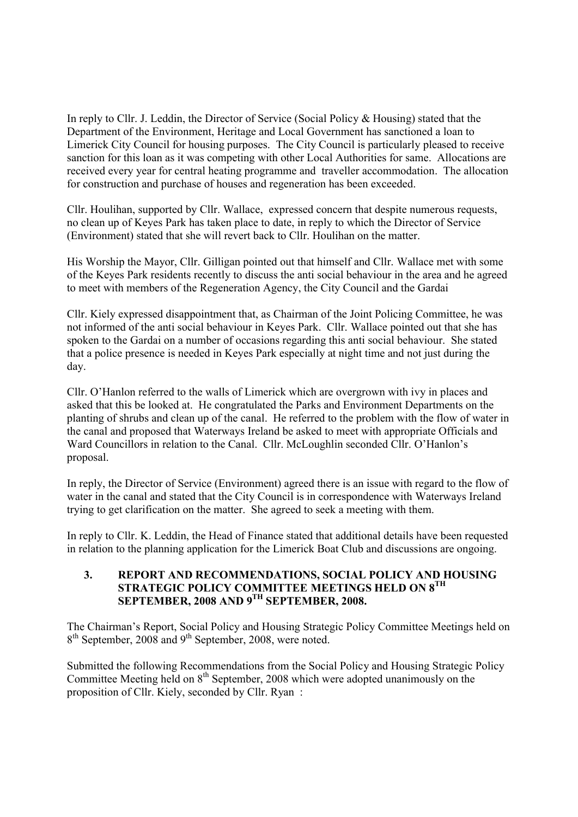In reply to Cllr. J. Leddin, the Director of Service (Social Policy & Housing) stated that the Department of the Environment, Heritage and Local Government has sanctioned a loan to Limerick City Council for housing purposes. The City Council is particularly pleased to receive sanction for this loan as it was competing with other Local Authorities for same. Allocations are received every year for central heating programme and traveller accommodation. The allocation for construction and purchase of houses and regeneration has been exceeded.

Cllr. Houlihan, supported by Cllr. Wallace, expressed concern that despite numerous requests, no clean up of Keyes Park has taken place to date, in reply to which the Director of Service (Environment) stated that she will revert back to Cllr. Houlihan on the matter.

His Worship the Mayor, Cllr. Gilligan pointed out that himself and Cllr. Wallace met with some of the Keyes Park residents recently to discuss the anti social behaviour in the area and he agreed to meet with members of the Regeneration Agency, the City Council and the Gardai

Cllr. Kiely expressed disappointment that, as Chairman of the Joint Policing Committee, he was not informed of the anti social behaviour in Keyes Park. Cllr. Wallace pointed out that she has spoken to the Gardai on a number of occasions regarding this anti social behaviour. She stated that a police presence is needed in Keyes Park especially at night time and not just during the day.

Cllr. O'Hanlon referred to the walls of Limerick which are overgrown with ivy in places and asked that this be looked at. He congratulated the Parks and Environment Departments on the planting of shrubs and clean up of the canal. He referred to the problem with the flow of water in the canal and proposed that Waterways Ireland be asked to meet with appropriate Officials and Ward Councillors in relation to the Canal. Cllr. McLoughlin seconded Cllr. O'Hanlon's proposal.

In reply, the Director of Service (Environment) agreed there is an issue with regard to the flow of water in the canal and stated that the City Council is in correspondence with Waterways Ireland trying to get clarification on the matter. She agreed to seek a meeting with them.

In reply to Cllr. K. Leddin, the Head of Finance stated that additional details have been requested in relation to the planning application for the Limerick Boat Club and discussions are ongoing.

#### **3. REPORT AND RECOMMENDATIONS, SOCIAL POLICY AND HOUSING STRATEGIC POLICY COMMITTEE MEETINGS HELD ON 8TH SEPTEMBER, 2008 AND 9<sup>TH</sup> SEPTEMBER, 2008.**

The Chairman's Report, Social Policy and Housing Strategic Policy Committee Meetings held on 8<sup>th</sup> September, 2008 and 9<sup>th</sup> September, 2008, were noted.

Submitted the following Recommendations from the Social Policy and Housing Strategic Policy Committee Meeting held on  $8<sup>th</sup>$  September, 2008 which were adopted unanimously on the proposition of Cllr. Kiely, seconded by Cllr. Ryan :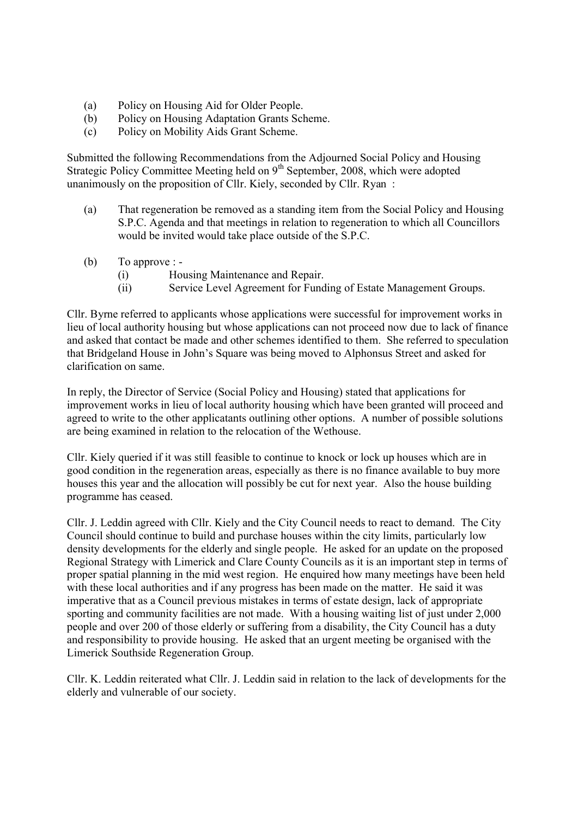- (a) Policy on Housing Aid for Older People.
- (b) Policy on Housing Adaptation Grants Scheme.
- (c) Policy on Mobility Aids Grant Scheme.

Submitted the following Recommendations from the Adjourned Social Policy and Housing Strategic Policy Committee Meeting held on 9<sup>th</sup> September, 2008, which were adopted unanimously on the proposition of Cllr. Kiely, seconded by Cllr. Ryan :

- (a) That regeneration be removed as a standing item from the Social Policy and Housing S.P.C. Agenda and that meetings in relation to regeneration to which all Councillors would be invited would take place outside of the S.P.C.
- (b) To approve :
	- (i) Housing Maintenance and Repair.
	- (ii) Service Level Agreement for Funding of Estate Management Groups.

Cllr. Byrne referred to applicants whose applications were successful for improvement works in lieu of local authority housing but whose applications can not proceed now due to lack of finance and asked that contact be made and other schemes identified to them. She referred to speculation that Bridgeland House in John's Square was being moved to Alphonsus Street and asked for clarification on same.

In reply, the Director of Service (Social Policy and Housing) stated that applications for improvement works in lieu of local authority housing which have been granted will proceed and agreed to write to the other applicatants outlining other options. A number of possible solutions are being examined in relation to the relocation of the Wethouse.

Cllr. Kiely queried if it was still feasible to continue to knock or lock up houses which are in good condition in the regeneration areas, especially as there is no finance available to buy more houses this year and the allocation will possibly be cut for next year. Also the house building programme has ceased.

Cllr. J. Leddin agreed with Cllr. Kiely and the City Council needs to react to demand. The City Council should continue to build and purchase houses within the city limits, particularly low density developments for the elderly and single people. He asked for an update on the proposed Regional Strategy with Limerick and Clare County Councils as it is an important step in terms of proper spatial planning in the mid west region. He enquired how many meetings have been held with these local authorities and if any progress has been made on the matter. He said it was imperative that as a Council previous mistakes in terms of estate design, lack of appropriate sporting and community facilities are not made. With a housing waiting list of just under 2,000 people and over 200 of those elderly or suffering from a disability, the City Council has a duty and responsibility to provide housing. He asked that an urgent meeting be organised with the Limerick Southside Regeneration Group.

Cllr. K. Leddin reiterated what Cllr. J. Leddin said in relation to the lack of developments for the elderly and vulnerable of our society.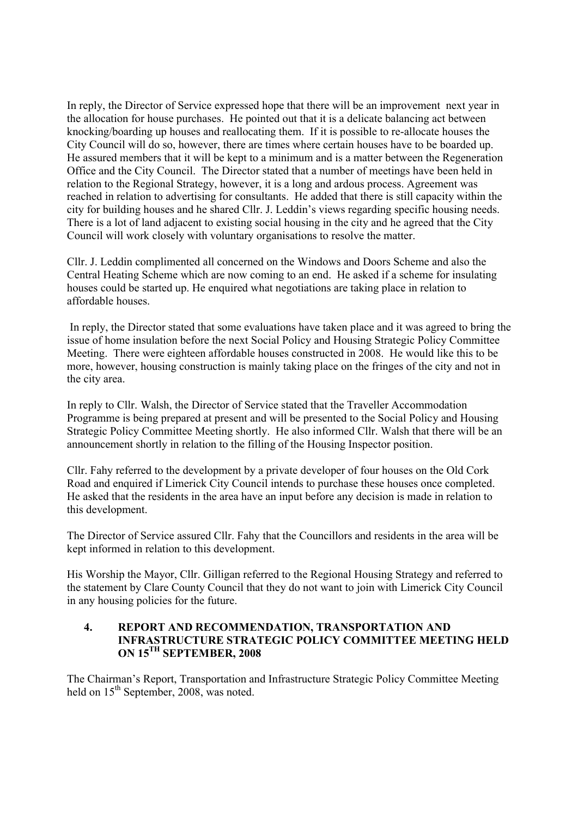In reply, the Director of Service expressed hope that there will be an improvement next year in the allocation for house purchases. He pointed out that it is a delicate balancing act between knocking/boarding up houses and reallocating them. If it is possible to re-allocate houses the City Council will do so, however, there are times where certain houses have to be boarded up. He assured members that it will be kept to a minimum and is a matter between the Regeneration Office and the City Council. The Director stated that a number of meetings have been held in relation to the Regional Strategy, however, it is a long and ardous process. Agreement was reached in relation to advertising for consultants. He added that there is still capacity within the city for building houses and he shared Cllr. J. Leddin's views regarding specific housing needs. There is a lot of land adjacent to existing social housing in the city and he agreed that the City Council will work closely with voluntary organisations to resolve the matter.

Cllr. J. Leddin complimented all concerned on the Windows and Doors Scheme and also the Central Heating Scheme which are now coming to an end. He asked if a scheme for insulating houses could be started up. He enquired what negotiations are taking place in relation to affordable houses.

 In reply, the Director stated that some evaluations have taken place and it was agreed to bring the issue of home insulation before the next Social Policy and Housing Strategic Policy Committee Meeting. There were eighteen affordable houses constructed in 2008. He would like this to be more, however, housing construction is mainly taking place on the fringes of the city and not in the city area.

In reply to Cllr. Walsh, the Director of Service stated that the Traveller Accommodation Programme is being prepared at present and will be presented to the Social Policy and Housing Strategic Policy Committee Meeting shortly. He also informed Cllr. Walsh that there will be an announcement shortly in relation to the filling of the Housing Inspector position.

Cllr. Fahy referred to the development by a private developer of four houses on the Old Cork Road and enquired if Limerick City Council intends to purchase these houses once completed. He asked that the residents in the area have an input before any decision is made in relation to this development.

The Director of Service assured Cllr. Fahy that the Councillors and residents in the area will be kept informed in relation to this development.

His Worship the Mayor, Cllr. Gilligan referred to the Regional Housing Strategy and referred to the statement by Clare County Council that they do not want to join with Limerick City Council in any housing policies for the future.

#### **4. REPORT AND RECOMMENDATION, TRANSPORTATION AND INFRASTRUCTURE STRATEGIC POLICY COMMITTEE MEETING HELD ON 15TH SEPTEMBER, 2008**

The Chairman's Report, Transportation and Infrastructure Strategic Policy Committee Meeting held on  $15<sup>th</sup>$  September, 2008, was noted.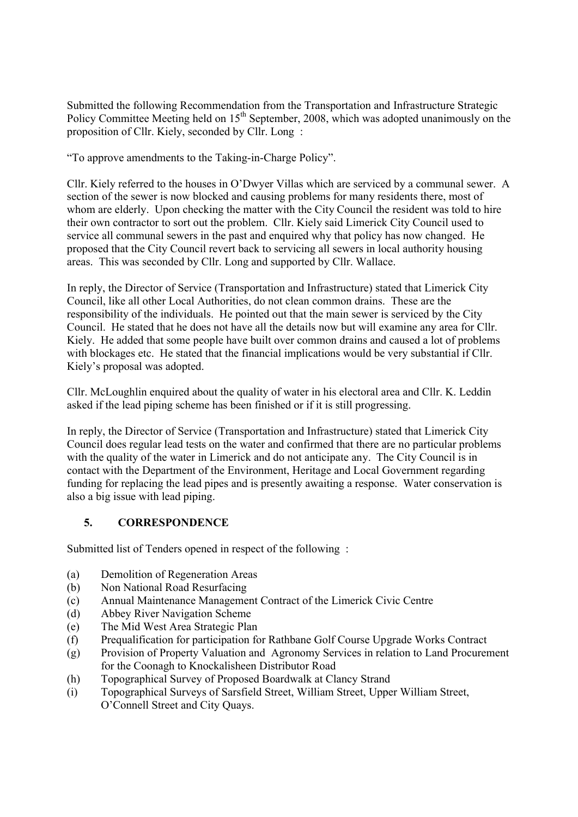Submitted the following Recommendation from the Transportation and Infrastructure Strategic Policy Committee Meeting held on 15<sup>th</sup> September, 2008, which was adopted unanimously on the proposition of Cllr. Kiely, seconded by Cllr. Long :

"To approve amendments to the Taking-in-Charge Policy".

Cllr. Kiely referred to the houses in O'Dwyer Villas which are serviced by a communal sewer. A section of the sewer is now blocked and causing problems for many residents there, most of whom are elderly. Upon checking the matter with the City Council the resident was told to hire their own contractor to sort out the problem. Cllr. Kiely said Limerick City Council used to service all communal sewers in the past and enquired why that policy has now changed. He proposed that the City Council revert back to servicing all sewers in local authority housing areas. This was seconded by Cllr. Long and supported by Cllr. Wallace.

In reply, the Director of Service (Transportation and Infrastructure) stated that Limerick City Council, like all other Local Authorities, do not clean common drains. These are the responsibility of the individuals. He pointed out that the main sewer is serviced by the City Council. He stated that he does not have all the details now but will examine any area for Cllr. Kiely. He added that some people have built over common drains and caused a lot of problems with blockages etc. He stated that the financial implications would be very substantial if Cllr. Kiely's proposal was adopted.

Cllr. McLoughlin enquired about the quality of water in his electoral area and Cllr. K. Leddin asked if the lead piping scheme has been finished or if it is still progressing.

In reply, the Director of Service (Transportation and Infrastructure) stated that Limerick City Council does regular lead tests on the water and confirmed that there are no particular problems with the quality of the water in Limerick and do not anticipate any. The City Council is in contact with the Department of the Environment, Heritage and Local Government regarding funding for replacing the lead pipes and is presently awaiting a response. Water conservation is also a big issue with lead piping.

### **5. CORRESPONDENCE**

Submitted list of Tenders opened in respect of the following :

- (a) Demolition of Regeneration Areas
- (b) Non National Road Resurfacing
- (c) Annual Maintenance Management Contract of the Limerick Civic Centre
- (d) Abbey River Navigation Scheme
- (e) The Mid West Area Strategic Plan
- (f) Prequalification for participation for Rathbane Golf Course Upgrade Works Contract
- (g) Provision of Property Valuation and Agronomy Services in relation to Land Procurement for the Coonagh to Knockalisheen Distributor Road
- (h) Topographical Survey of Proposed Boardwalk at Clancy Strand
- (i) Topographical Surveys of Sarsfield Street, William Street, Upper William Street, O'Connell Street and City Quays.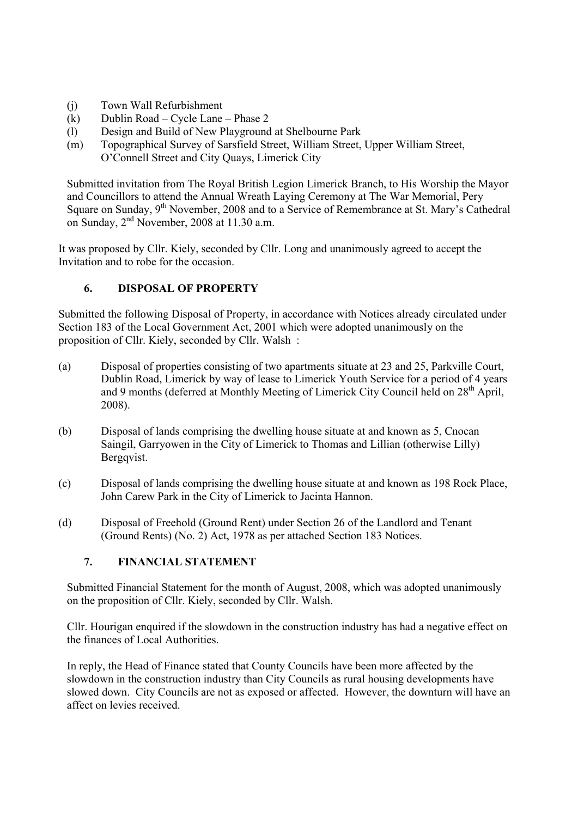- (j) Town Wall Refurbishment
- (k) Dublin Road Cycle Lane Phase 2
- (l) Design and Build of New Playground at Shelbourne Park
- (m) Topographical Survey of Sarsfield Street, William Street, Upper William Street, O'Connell Street and City Quays, Limerick City

Submitted invitation from The Royal British Legion Limerick Branch, to His Worship the Mayor and Councillors to attend the Annual Wreath Laying Ceremony at The War Memorial, Pery Square on Sunday, 9<sup>th</sup> November, 2008 and to a Service of Remembrance at St. Mary's Cathedral on Sunday,  $2<sup>nd</sup>$  November, 2008 at 11.30 a.m.

It was proposed by Cllr. Kiely, seconded by Cllr. Long and unanimously agreed to accept the Invitation and to robe for the occasion.

### **6. DISPOSAL OF PROPERTY**

Submitted the following Disposal of Property, in accordance with Notices already circulated under Section 183 of the Local Government Act, 2001 which were adopted unanimously on the proposition of Cllr. Kiely, seconded by Cllr. Walsh :

- (a) Disposal of properties consisting of two apartments situate at 23 and 25, Parkville Court, Dublin Road, Limerick by way of lease to Limerick Youth Service for a period of 4 years and 9 months (deferred at Monthly Meeting of Limerick City Council held on 28<sup>th</sup> April, 2008).
- (b) Disposal of lands comprising the dwelling house situate at and known as 5, Cnocan Saingil, Garryowen in the City of Limerick to Thomas and Lillian (otherwise Lilly) Bergqvist.
- (c) Disposal of lands comprising the dwelling house situate at and known as 198 Rock Place, John Carew Park in the City of Limerick to Jacinta Hannon.
- (d) Disposal of Freehold (Ground Rent) under Section 26 of the Landlord and Tenant (Ground Rents) (No. 2) Act, 1978 as per attached Section 183 Notices.

### **7. FINANCIAL STATEMENT**

Submitted Financial Statement for the month of August, 2008, which was adopted unanimously on the proposition of Cllr. Kiely, seconded by Cllr. Walsh.

Cllr. Hourigan enquired if the slowdown in the construction industry has had a negative effect on the finances of Local Authorities.

In reply, the Head of Finance stated that County Councils have been more affected by the slowdown in the construction industry than City Councils as rural housing developments have slowed down. City Councils are not as exposed or affected. However, the downturn will have an affect on levies received.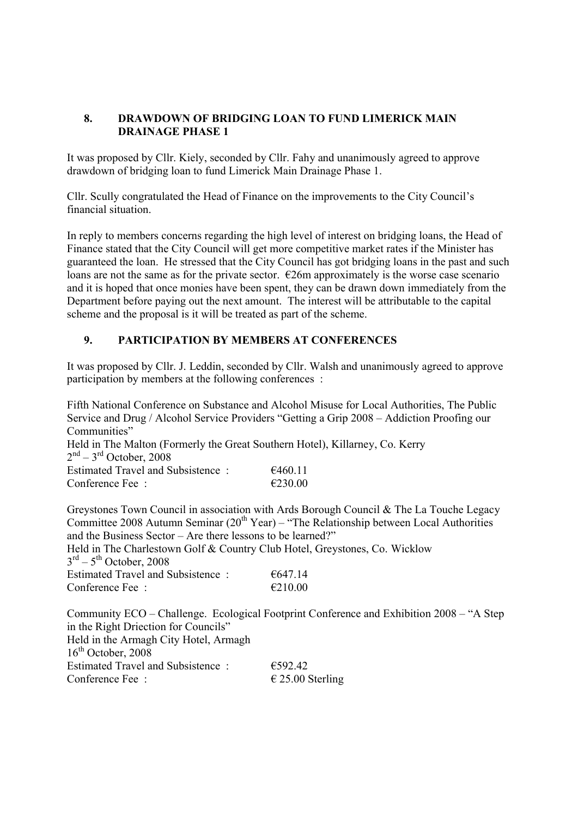### **8. DRAWDOWN OF BRIDGING LOAN TO FUND LIMERICK MAIN DRAINAGE PHASE 1**

It was proposed by Cllr. Kiely, seconded by Cllr. Fahy and unanimously agreed to approve drawdown of bridging loan to fund Limerick Main Drainage Phase 1.

Cllr. Scully congratulated the Head of Finance on the improvements to the City Council's financial situation.

In reply to members concerns regarding the high level of interest on bridging loans, the Head of Finance stated that the City Council will get more competitive market rates if the Minister has guaranteed the loan. He stressed that the City Council has got bridging loans in the past and such loans are not the same as for the private sector.  $\epsilon$ 26m approximately is the worse case scenario and it is hoped that once monies have been spent, they can be drawn down immediately from the Department before paying out the next amount. The interest will be attributable to the capital scheme and the proposal is it will be treated as part of the scheme.

### **9. PARTICIPATION BY MEMBERS AT CONFERENCES**

It was proposed by Cllr. J. Leddin, seconded by Cllr. Walsh and unanimously agreed to approve participation by members at the following conferences :

Fifth National Conference on Substance and Alcohol Misuse for Local Authorities, The Public Service and Drug / Alcohol Service Providers "Getting a Grip 2008 – Addiction Proofing our Communities" Held in The Malton (Formerly the Great Southern Hotel), Killarney, Co. Kerry  $2<sup>nd</sup> - 3<sup>rd</sup>$  October, 2008 Estimated Travel and Subsistence :  $6460.11$ Conference Fee :  $\epsilon$  230.00

Greystones Town Council in association with Ards Borough Council & The La Touche Legacy Committee 2008 Autumn Seminar  $(20<sup>th</sup> Year)$  – "The Relationship between Local Authorities" and the Business Sector – Are there lessons to be learned?" Held in The Charlestown Golf & Country Club Hotel, Greystones, Co. Wicklow  $3<sup>rd</sup> - 5<sup>th</sup>$  October, 2008 Estimated Travel and Subsistence :  $6647.14$ Conference Fee :  $\epsilon$  210.00

Community ECO – Challenge. Ecological Footprint Conference and Exhibition 2008 – "A Step in the Right Driection for Councils" Held in the Armagh City Hotel, Armagh  $16<sup>th</sup>$  October, 2008 Estimated Travel and Subsistence :  $6592.42$ Conference Fee :  $\epsilon$  25.00 Sterling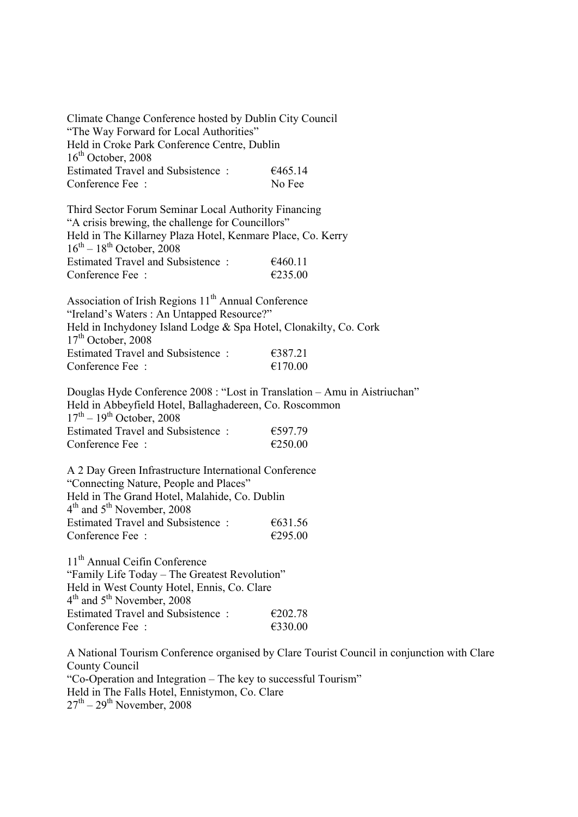Climate Change Conference hosted by Dublin City Council "The Way Forward for Local Authorities" Held in Croke Park Conference Centre, Dublin  $16<sup>th</sup>$  October, 2008 Estimated Travel and Subsistence :  $6465.14$ Conference Fee : No Fee Third Sector Forum Seminar Local Authority Financing "A crisis brewing, the challenge for Councillors" Held in The Killarney Plaza Hotel, Kenmare Place, Co. Kerry  $16^{th} - 18^{th}$  October, 2008 Estimated Travel and Subsistence :  $6460.11$ Conference Fee :  $\epsilon$  235.00 Association of Irish Regions 11<sup>th</sup> Annual Conference "Ireland's Waters : An Untapped Resource?" Held in Inchydoney Island Lodge & Spa Hotel, Clonakilty, Co. Cork  $17<sup>th</sup>$  October, 2008 Estimated Travel and Subsistence :  $\epsilon$ 387.21 Conference Fee :  $\epsilon$  =  $\epsilon$  170.00 Douglas Hyde Conference 2008 : "Lost in Translation – Amu in Aistriuchan" Held in Abbeyfield Hotel, Ballaghadereen, Co. Roscommon  $17<sup>th</sup> - 19<sup>th</sup>$  October, 2008 Estimated Travel and Subsistence :  $6597.79$ Conference Fee :  $\epsilon$  250.00 A 2 Day Green Infrastructure International Conference "Connecting Nature, People and Places" Held in The Grand Hotel, Malahide, Co. Dublin 4<sup>th</sup> and 5<sup>th</sup> November, 2008 Estimated Travel and Subsistence :  $6631.56$ Conference Fee :  $\epsilon$  295.00 11<sup>th</sup> Annual Ceifin Conference "Family Life Today – The Greatest Revolution" Held in West County Hotel, Ennis, Co. Clare 4<sup>th</sup> and 5<sup>th</sup> November, 2008 Estimated Travel and Subsistence :  $\epsilon$  £202.78 Conference Fee :  $\epsilon$ 330.00 A National Tourism Conference organised by Clare Tourist Council in conjunction with Clare County Council

"Co-Operation and Integration – The key to successful Tourism" Held in The Falls Hotel, Ennistymon, Co. Clare  $27<sup>th</sup> - 29<sup>th</sup>$  November, 2008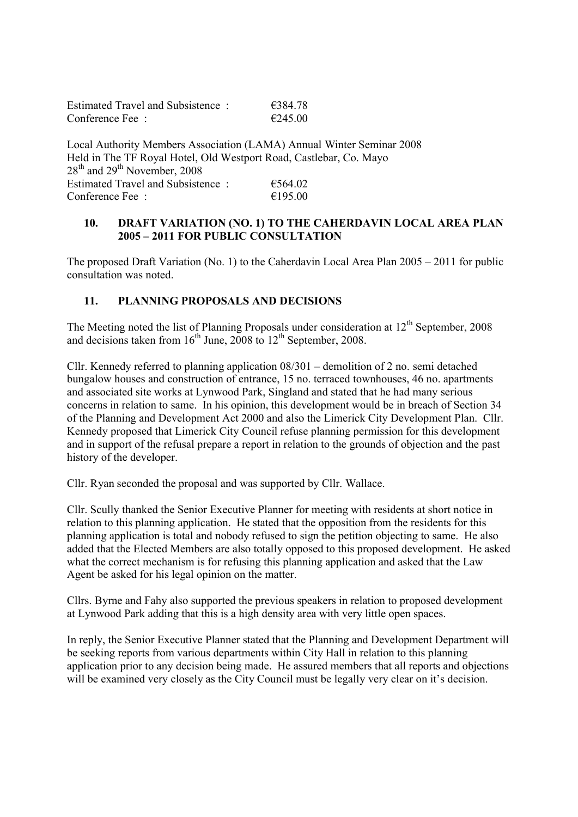| Estimated Travel and Subsistence:                    | €384.78           |
|------------------------------------------------------|-------------------|
| Conference Fee $\pm$                                 | $\epsilon$ 245 00 |
|                                                      |                   |
| Local Authority Members Association (LAMA) Annual Wi |                   |

Local Authority Members Association (LAMA) Annual Winter Seminar 2008 Held in The TF Royal Hotel, Old Westport Road, Castlebar, Co. Mayo  $28<sup>th</sup>$  and  $29<sup>th</sup>$  November, 2008 Estimated Travel and Subsistence :  $6564.02$ Conference Fee :  $\epsilon$  :  $\epsilon$  195.00

#### **10. DRAFT VARIATION (NO. 1) TO THE CAHERDAVIN LOCAL AREA PLAN 2005 – 2011 FOR PUBLIC CONSULTATION**

The proposed Draft Variation (No. 1) to the Caherdavin Local Area Plan 2005 – 2011 for public consultation was noted.

### **11. PLANNING PROPOSALS AND DECISIONS**

The Meeting noted the list of Planning Proposals under consideration at 12<sup>th</sup> September, 2008 and decisions taken from  $16^{th}$  June, 2008 to  $12^{th}$  September, 2008.

Cllr. Kennedy referred to planning application 08/301 – demolition of 2 no. semi detached bungalow houses and construction of entrance, 15 no. terraced townhouses, 46 no. apartments and associated site works at Lynwood Park, Singland and stated that he had many serious concerns in relation to same. In his opinion, this development would be in breach of Section 34 of the Planning and Development Act 2000 and also the Limerick City Development Plan. Cllr. Kennedy proposed that Limerick City Council refuse planning permission for this development and in support of the refusal prepare a report in relation to the grounds of objection and the past history of the developer.

Cllr. Ryan seconded the proposal and was supported by Cllr. Wallace.

Cllr. Scully thanked the Senior Executive Planner for meeting with residents at short notice in relation to this planning application. He stated that the opposition from the residents for this planning application is total and nobody refused to sign the petition objecting to same. He also added that the Elected Members are also totally opposed to this proposed development. He asked what the correct mechanism is for refusing this planning application and asked that the Law Agent be asked for his legal opinion on the matter.

Cllrs. Byrne and Fahy also supported the previous speakers in relation to proposed development at Lynwood Park adding that this is a high density area with very little open spaces.

In reply, the Senior Executive Planner stated that the Planning and Development Department will be seeking reports from various departments within City Hall in relation to this planning application prior to any decision being made. He assured members that all reports and objections will be examined very closely as the City Council must be legally very clear on it's decision.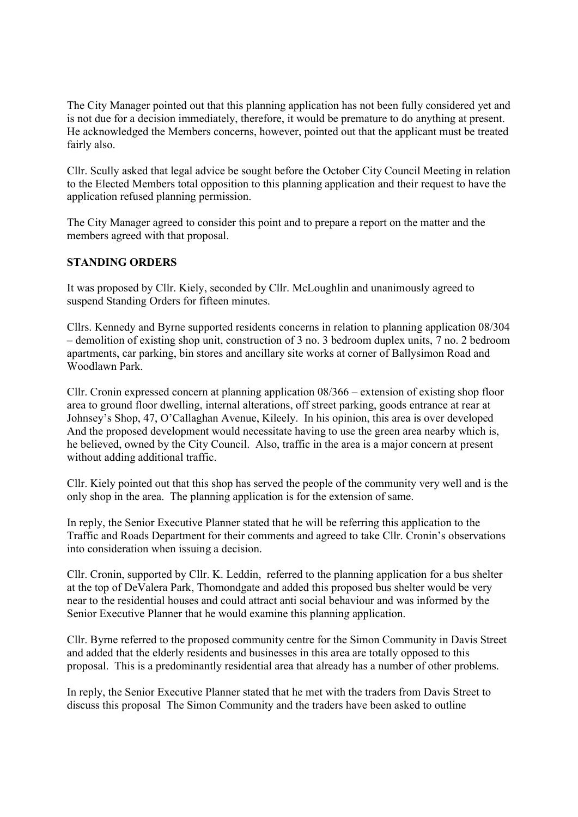The City Manager pointed out that this planning application has not been fully considered yet and is not due for a decision immediately, therefore, it would be premature to do anything at present. He acknowledged the Members concerns, however, pointed out that the applicant must be treated fairly also.

Cllr. Scully asked that legal advice be sought before the October City Council Meeting in relation to the Elected Members total opposition to this planning application and their request to have the application refused planning permission.

The City Manager agreed to consider this point and to prepare a report on the matter and the members agreed with that proposal.

#### **STANDING ORDERS**

It was proposed by Cllr. Kiely, seconded by Cllr. McLoughlin and unanimously agreed to suspend Standing Orders for fifteen minutes.

Cllrs. Kennedy and Byrne supported residents concerns in relation to planning application 08/304 – demolition of existing shop unit, construction of 3 no. 3 bedroom duplex units, 7 no. 2 bedroom apartments, car parking, bin stores and ancillary site works at corner of Ballysimon Road and Woodlawn Park.

Cllr. Cronin expressed concern at planning application 08/366 – extension of existing shop floor area to ground floor dwelling, internal alterations, off street parking, goods entrance at rear at Johnsey's Shop, 47, O'Callaghan Avenue, Kileely. In his opinion, this area is over developed And the proposed development would necessitate having to use the green area nearby which is, he believed, owned by the City Council. Also, traffic in the area is a major concern at present without adding additional traffic.

Cllr. Kiely pointed out that this shop has served the people of the community very well and is the only shop in the area. The planning application is for the extension of same.

In reply, the Senior Executive Planner stated that he will be referring this application to the Traffic and Roads Department for their comments and agreed to take Cllr. Cronin's observations into consideration when issuing a decision.

Cllr. Cronin, supported by Cllr. K. Leddin, referred to the planning application for a bus shelter at the top of DeValera Park, Thomondgate and added this proposed bus shelter would be very near to the residential houses and could attract anti social behaviour and was informed by the Senior Executive Planner that he would examine this planning application.

Cllr. Byrne referred to the proposed community centre for the Simon Community in Davis Street and added that the elderly residents and businesses in this area are totally opposed to this proposal. This is a predominantly residential area that already has a number of other problems.

In reply, the Senior Executive Planner stated that he met with the traders from Davis Street to discuss this proposal The Simon Community and the traders have been asked to outline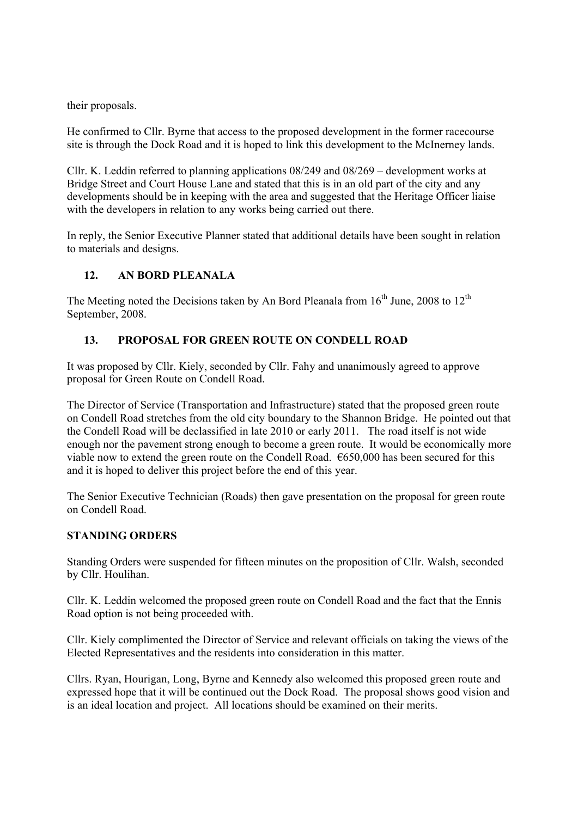their proposals.

He confirmed to Cllr. Byrne that access to the proposed development in the former racecourse site is through the Dock Road and it is hoped to link this development to the McInerney lands.

Cllr. K. Leddin referred to planning applications 08/249 and 08/269 – development works at Bridge Street and Court House Lane and stated that this is in an old part of the city and any developments should be in keeping with the area and suggested that the Heritage Officer liaise with the developers in relation to any works being carried out there.

In reply, the Senior Executive Planner stated that additional details have been sought in relation to materials and designs.

## **12. AN BORD PLEANALA**

The Meeting noted the Decisions taken by An Bord Pleanala from  $16<sup>th</sup>$  June, 2008 to  $12<sup>th</sup>$ September, 2008.

### **13. PROPOSAL FOR GREEN ROUTE ON CONDELL ROAD**

It was proposed by Cllr. Kiely, seconded by Cllr. Fahy and unanimously agreed to approve proposal for Green Route on Condell Road.

The Director of Service (Transportation and Infrastructure) stated that the proposed green route on Condell Road stretches from the old city boundary to the Shannon Bridge. He pointed out that the Condell Road will be declassified in late 2010 or early 2011. The road itself is not wide enough nor the pavement strong enough to become a green route. It would be economically more viable now to extend the green route on the Condell Road.  $\epsilon$ 650,000 has been secured for this and it is hoped to deliver this project before the end of this year.

The Senior Executive Technician (Roads) then gave presentation on the proposal for green route on Condell Road.

### **STANDING ORDERS**

Standing Orders were suspended for fifteen minutes on the proposition of Cllr. Walsh, seconded by Cllr. Houlihan.

Cllr. K. Leddin welcomed the proposed green route on Condell Road and the fact that the Ennis Road option is not being proceeded with.

Cllr. Kiely complimented the Director of Service and relevant officials on taking the views of the Elected Representatives and the residents into consideration in this matter.

Cllrs. Ryan, Hourigan, Long, Byrne and Kennedy also welcomed this proposed green route and expressed hope that it will be continued out the Dock Road. The proposal shows good vision and is an ideal location and project. All locations should be examined on their merits.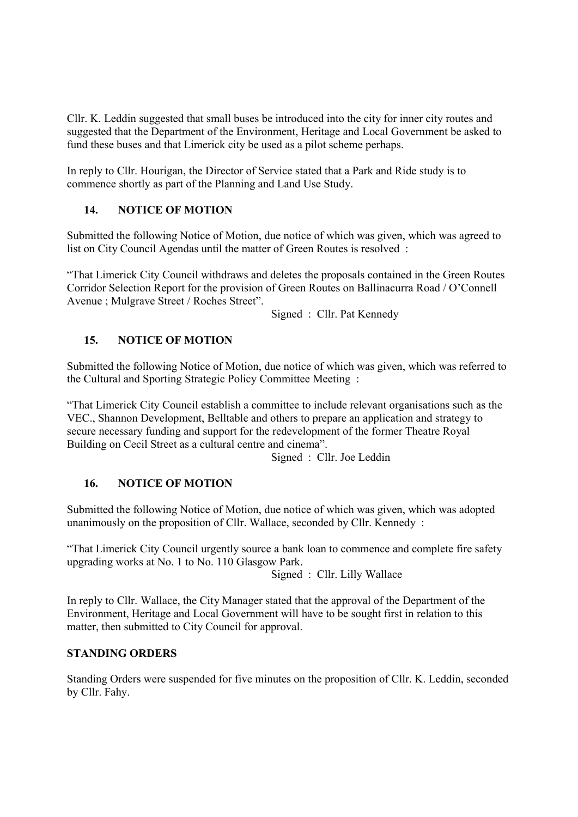Cllr. K. Leddin suggested that small buses be introduced into the city for inner city routes and suggested that the Department of the Environment, Heritage and Local Government be asked to fund these buses and that Limerick city be used as a pilot scheme perhaps.

In reply to Cllr. Hourigan, the Director of Service stated that a Park and Ride study is to commence shortly as part of the Planning and Land Use Study.

## **14. NOTICE OF MOTION**

Submitted the following Notice of Motion, due notice of which was given, which was agreed to list on City Council Agendas until the matter of Green Routes is resolved :

"That Limerick City Council withdraws and deletes the proposals contained in the Green Routes Corridor Selection Report for the provision of Green Routes on Ballinacurra Road / O'Connell Avenue ; Mulgrave Street / Roches Street".

Signed : Cllr. Pat Kennedy

## **15. NOTICE OF MOTION**

Submitted the following Notice of Motion, due notice of which was given, which was referred to the Cultural and Sporting Strategic Policy Committee Meeting :

"That Limerick City Council establish a committee to include relevant organisations such as the VEC., Shannon Development, Belltable and others to prepare an application and strategy to secure necessary funding and support for the redevelopment of the former Theatre Royal Building on Cecil Street as a cultural centre and cinema".

Signed : Cllr. Joe Leddin

### **16. NOTICE OF MOTION**

Submitted the following Notice of Motion, due notice of which was given, which was adopted unanimously on the proposition of Cllr. Wallace, seconded by Cllr. Kennedy :

"That Limerick City Council urgently source a bank loan to commence and complete fire safety upgrading works at No. 1 to No. 110 Glasgow Park.

Signed : Cllr. Lilly Wallace

In reply to Cllr. Wallace, the City Manager stated that the approval of the Department of the Environment, Heritage and Local Government will have to be sought first in relation to this matter, then submitted to City Council for approval.

#### **STANDING ORDERS**

Standing Orders were suspended for five minutes on the proposition of Cllr. K. Leddin, seconded by Cllr. Fahy.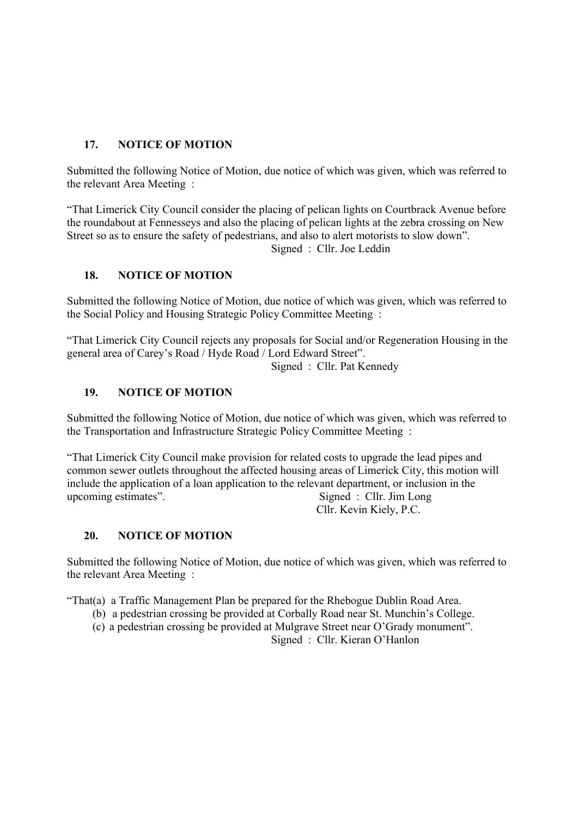## **17. NOTICE OF MOTION**

Submitted the following Notice of Motion, due notice of which was given, which was referred to the relevant Area Meeting :

"That Limerick City Council consider the placing of pelican lights on Courtbrack Avenue before the roundabout at Fennesseys and also the placing of pelican lights at the zebra crossing on New Street so as to ensure the safety of pedestrians, and also to alert motorists to slow down".

Signed : Cllr. Joe Leddin

### **18. NOTICE OF MOTION**

Submitted the following Notice of Motion, due notice of which was given, which was referred to the Social Policy and Housing Strategic Policy Committee Meeting :

"That Limerick City Council rejects any proposals for Social and/or Regeneration Housing in the general area of Carey's Road / Hyde Road / Lord Edward Street".

Signed : Cllr. Pat Kennedy

### **19. NOTICE OF MOTION**

Submitted the following Notice of Motion, due notice of which was given, which was referred to the Transportation and Infrastructure Strategic Policy Committee Meeting :

"That Limerick City Council make provision for related costs to upgrade the lead pipes and common sewer outlets throughout the affected housing areas of Limerick City, this motion will include the application of a loan application to the relevant department, or inclusion in the upcoming estimates". Signed : Cllr. Jim Long Cllr. Kevin Kiely, P.C.

### **20. NOTICE OF MOTION**

Submitted the following Notice of Motion, due notice of which was given, which was referred to the relevant Area Meeting :

"That(a) a Traffic Management Plan be prepared for the Rhebogue Dublin Road Area.

- (b) a pedestrian crossing be provided at Corbally Road near St. Munchin's College.
- (c) a pedestrian crossing be provided at Mulgrave Street near O'Grady monument".

Signed : Cllr. Kieran O'Hanlon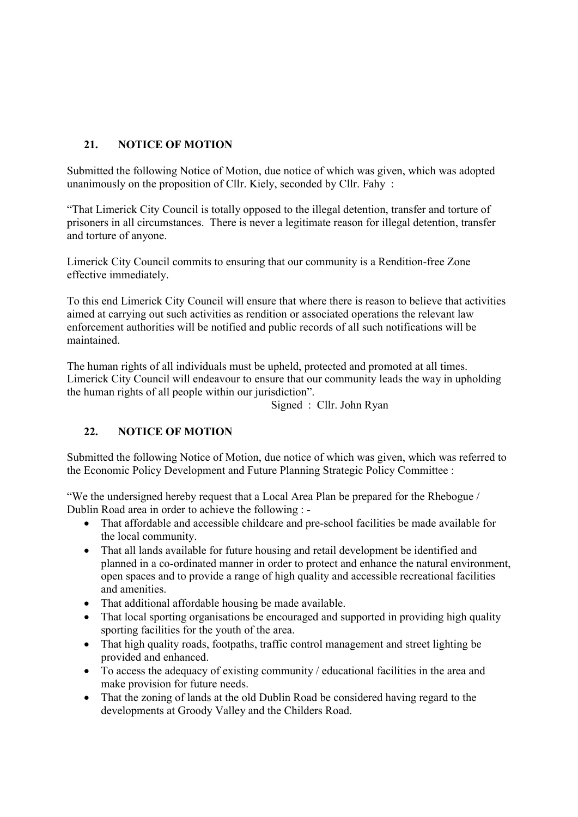# **21. NOTICE OF MOTION**

Submitted the following Notice of Motion, due notice of which was given, which was adopted unanimously on the proposition of Cllr. Kiely, seconded by Cllr. Fahy :

"That Limerick City Council is totally opposed to the illegal detention, transfer and torture of prisoners in all circumstances. There is never a legitimate reason for illegal detention, transfer and torture of anyone.

Limerick City Council commits to ensuring that our community is a Rendition-free Zone effective immediately.

To this end Limerick City Council will ensure that where there is reason to believe that activities aimed at carrying out such activities as rendition or associated operations the relevant law enforcement authorities will be notified and public records of all such notifications will be maintained.

The human rights of all individuals must be upheld, protected and promoted at all times. Limerick City Council will endeavour to ensure that our community leads the way in upholding the human rights of all people within our jurisdiction".

Signed : Cllr. John Ryan

## **22. NOTICE OF MOTION**

Submitted the following Notice of Motion, due notice of which was given, which was referred to the Economic Policy Development and Future Planning Strategic Policy Committee :

"We the undersigned hereby request that a Local Area Plan be prepared for the Rhebogue / Dublin Road area in order to achieve the following : -

- That affordable and accessible childcare and pre-school facilities be made available for the local community.
- That all lands available for future housing and retail development be identified and planned in a co-ordinated manner in order to protect and enhance the natural environment, open spaces and to provide a range of high quality and accessible recreational facilities and amenities.
- That additional affordable housing be made available.
- That local sporting organisations be encouraged and supported in providing high quality sporting facilities for the youth of the area.
- That high quality roads, footpaths, traffic control management and street lighting be provided and enhanced.
- To access the adequacy of existing community / educational facilities in the area and make provision for future needs.
- That the zoning of lands at the old Dublin Road be considered having regard to the developments at Groody Valley and the Childers Road.